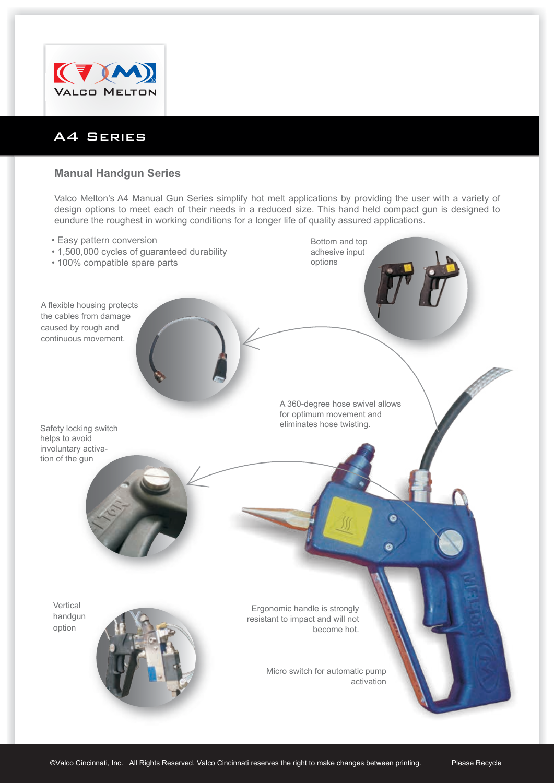

## A4 Series

## **Manual Handgun Series**

Valco Melton's A4 Manual Gun Series simplify hot melt applications by providing the user with a variety of design options to meet each of their needs in a reduced size. This hand held compact gun is designed to eundure the roughest in working conditions for a longer life of quality assured applications.